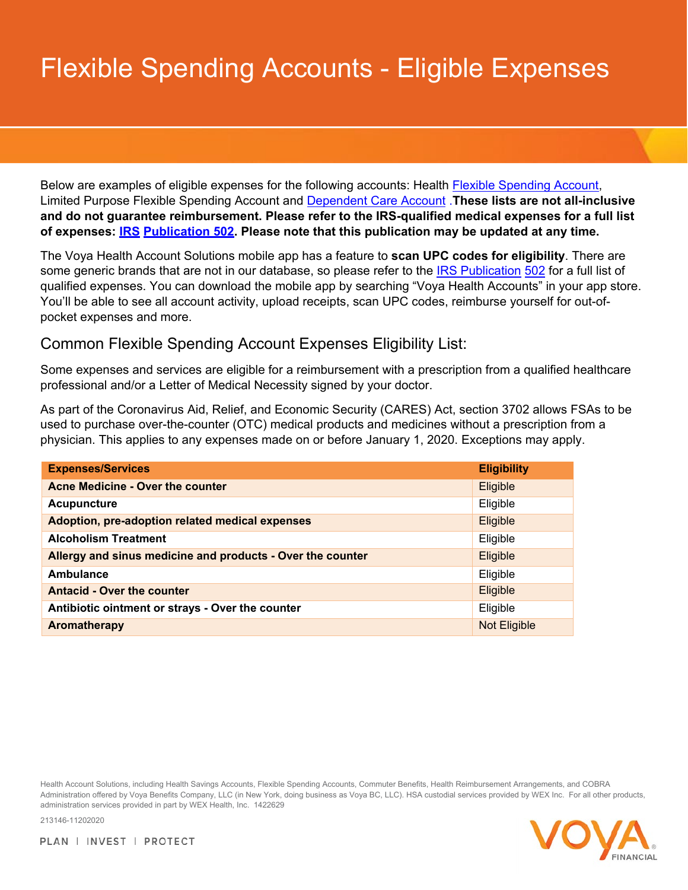## Flexible Spending Accounts - Eligible Expenses

Below are examples of eligible expenses for the following accounts: Health **Flexible Spending Account**, Limited Purpose Flexible Spending Account and [Dependent Care Account](#page-3-0) .**These lists are not all-inclusive and do not guarantee reimbursement. Please refer to the IRS-qualified medical expenses for a full list of expenses: [IRS](https://www.irs.gov/pub/irs-pdf/p502.pdf) [Publication 502.](https://www.irs.gov/pub/irs-pdf/p502.pdf) Please note that this publication may be updated at any time.**

The Voya Health Account Solutions mobile app has a feature to **scan UPC codes for eligibility**. There are some generic brands that are not in our database, so please refer to the [IRS Publication](https://www.irs.gov/pub/irs-pdf/p502.pdf) [502](https://www.irs.gov/pub/irs-pdf/p502.pdf) for a full list of qualified expenses. You can download the mobile app by searching "Voya Health Accounts" in your app store. You'll be able to see all account activity, upload receipts, scan UPC codes, reimburse yourself for out-ofpocket expenses and more.

## <span id="page-0-0"></span>Common Flexible Spending Account Expenses Eligibility List:

Some expenses and services are eligible for a reimbursement with a prescription from a qualified healthcare professional and/or a Letter of Medical Necessity signed by your doctor.

As part of the Coronavirus Aid, Relief, and Economic Security (CARES) Act, section 3702 allows FSAs to be used to purchase over-the-counter (OTC) medical products and medicines without a prescription from a physician. This applies to any expenses made on or before January 1, 2020. Exceptions may apply.

| <b>Expenses/Services</b>                                   | <b>Eligibility</b>  |
|------------------------------------------------------------|---------------------|
| Acne Medicine - Over the counter                           | Eligible            |
| <b>Acupuncture</b>                                         | Eligible            |
| Adoption, pre-adoption related medical expenses            | Eligible            |
| <b>Alcoholism Treatment</b>                                | Eligible            |
| Allergy and sinus medicine and products - Over the counter | Eligible            |
| Ambulance                                                  | Eligible            |
| <b>Antacid - Over the counter</b>                          | Eligible            |
| Antibiotic ointment or strays - Over the counter           | Eligible            |
| Aromatherapy                                               | <b>Not Eligible</b> |

Health Account Solutions, including Health Savings Accounts, Flexible Spending Accounts, Commuter Benefits, Health Reimbursement Arrangements, and COBRA Administration offered by Voya Benefits Company, LLC (in New York, doing business as Voya BC, LLC). HSA custodial services provided by WEX Inc. For all other products, administration services provided in part by WEX Health, Inc. 1422629

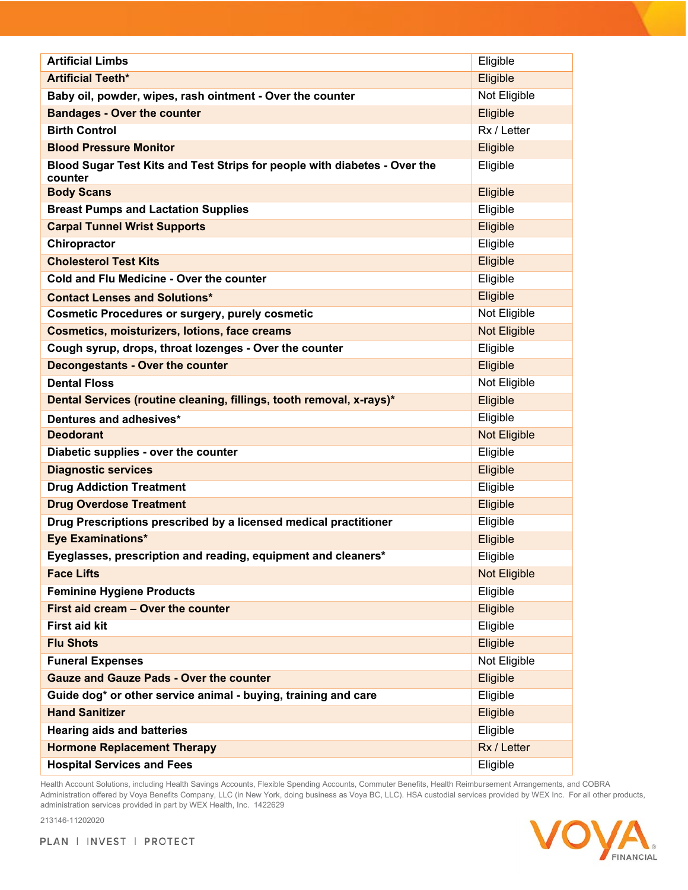| <b>Artificial Limbs</b>                                                              | Eligible            |
|--------------------------------------------------------------------------------------|---------------------|
| <b>Artificial Teeth*</b>                                                             | Eligible            |
| Baby oil, powder, wipes, rash ointment - Over the counter                            | Not Eligible        |
| <b>Bandages - Over the counter</b>                                                   | Eligible            |
| <b>Birth Control</b>                                                                 | Rx / Letter         |
| <b>Blood Pressure Monitor</b>                                                        | Eligible            |
| Blood Sugar Test Kits and Test Strips for people with diabetes - Over the<br>counter | Eligible            |
| <b>Body Scans</b>                                                                    | Eligible            |
| <b>Breast Pumps and Lactation Supplies</b>                                           | Eligible            |
| <b>Carpal Tunnel Wrist Supports</b>                                                  | Eligible            |
| Chiropractor                                                                         | Eligible            |
| <b>Cholesterol Test Kits</b>                                                         | Eligible            |
| Cold and Flu Medicine - Over the counter                                             | Eligible            |
| <b>Contact Lenses and Solutions*</b>                                                 | Eligible            |
| <b>Cosmetic Procedures or surgery, purely cosmetic</b>                               | Not Eligible        |
| <b>Cosmetics, moisturizers, lotions, face creams</b>                                 | Not Eligible        |
| Cough syrup, drops, throat lozenges - Over the counter                               | Eligible            |
| <b>Decongestants - Over the counter</b>                                              | Eligible            |
| <b>Dental Floss</b>                                                                  | Not Eligible        |
| Dental Services (routine cleaning, fillings, tooth removal, x-rays)*                 | Eligible            |
| Dentures and adhesives*                                                              | Eligible            |
| <b>Deodorant</b>                                                                     | <b>Not Eligible</b> |
| Diabetic supplies - over the counter                                                 | Eligible            |
| <b>Diagnostic services</b>                                                           | Eligible            |
| <b>Drug Addiction Treatment</b>                                                      | Eligible            |
| <b>Drug Overdose Treatment</b>                                                       | Eligible            |
| Drug Prescriptions prescribed by a licensed medical practitioner                     | Eligible            |
| <b>Eye Examinations*</b>                                                             | Eligible            |
| Eyeglasses, prescription and reading, equipment and cleaners*                        | Eligible            |
| <b>Face Lifts</b>                                                                    | Not Eligible        |
| <b>Feminine Hygiene Products</b>                                                     | Eligible            |
| First aid cream - Over the counter                                                   | Eligible            |
| <b>First aid kit</b>                                                                 | Eligible            |
| <b>Flu Shots</b>                                                                     | Eligible            |
| <b>Funeral Expenses</b>                                                              | Not Eligible        |
| <b>Gauze and Gauze Pads - Over the counter</b>                                       | Eligible            |
| Guide dog* or other service animal - buying, training and care                       | Eligible            |
| <b>Hand Sanitizer</b>                                                                | Eligible            |
| <b>Hearing aids and batteries</b>                                                    | Eligible            |
| <b>Hormone Replacement Therapy</b>                                                   | Rx / Letter         |
| <b>Hospital Services and Fees</b>                                                    | Eligible            |

Health Account Solutions, including Health Savings Accounts, Flexible Spending Accounts, Commuter Benefits, Health Reimbursement Arrangements, and COBRA Administration offered by Voya Benefits Company, LLC (in New York, doing business as Voya BC, LLC). HSA custodial services provided by WEX Inc. For all other products, administration services provided in part by WEX Health, Inc. 1422629



PLAN | INVEST | PROTECT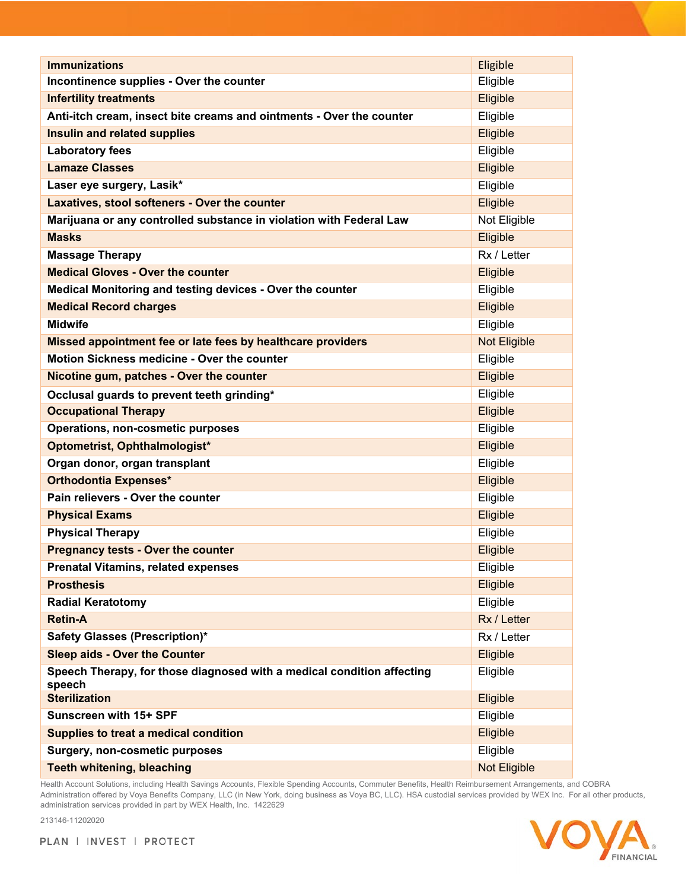| <b>Immunizations</b>                                                             | Eligible     |
|----------------------------------------------------------------------------------|--------------|
| Incontinence supplies - Over the counter                                         | Eligible     |
| <b>Infertility treatments</b>                                                    | Eligible     |
| Anti-itch cream, insect bite creams and ointments - Over the counter             | Eligible     |
| Insulin and related supplies                                                     | Eligible     |
| <b>Laboratory fees</b>                                                           | Eligible     |
| <b>Lamaze Classes</b>                                                            | Eligible     |
| Laser eye surgery, Lasik*                                                        | Eligible     |
| Laxatives, stool softeners - Over the counter                                    | Eligible     |
| Marijuana or any controlled substance in violation with Federal Law              | Not Eligible |
| <b>Masks</b>                                                                     | Eligible     |
| <b>Massage Therapy</b>                                                           | Rx / Letter  |
| <b>Medical Gloves - Over the counter</b>                                         | Eligible     |
| Medical Monitoring and testing devices - Over the counter                        | Eligible     |
| <b>Medical Record charges</b>                                                    | Eligible     |
| <b>Midwife</b>                                                                   | Eligible     |
| Missed appointment fee or late fees by healthcare providers                      | Not Eligible |
| Motion Sickness medicine - Over the counter                                      | Eligible     |
| Nicotine gum, patches - Over the counter                                         | Eligible     |
| Occlusal guards to prevent teeth grinding*                                       | Eligible     |
| <b>Occupational Therapy</b>                                                      | Eligible     |
| Operations, non-cosmetic purposes                                                | Eligible     |
| Optometrist, Ophthalmologist*                                                    | Eligible     |
| Organ donor, organ transplant                                                    | Eligible     |
| <b>Orthodontia Expenses*</b>                                                     | Eligible     |
| Pain relievers - Over the counter                                                | Eligible     |
| <b>Physical Exams</b>                                                            | Eligible     |
| <b>Physical Therapy</b>                                                          | Eligible     |
| <b>Pregnancy tests - Over the counter</b>                                        | Eligible     |
| <b>Prenatal Vitamins, related expenses</b>                                       | Eligible     |
| <b>Prosthesis</b>                                                                | Eligible     |
| <b>Radial Keratotomy</b>                                                         | Eligible     |
| <b>Retin-A</b>                                                                   | Rx / Letter  |
| <b>Safety Glasses (Prescription)*</b>                                            | Rx / Letter  |
| <b>Sleep aids - Over the Counter</b>                                             | Eligible     |
| Speech Therapy, for those diagnosed with a medical condition affecting<br>speech | Eligible     |
| <b>Sterilization</b>                                                             | Eligible     |
| Sunscreen with 15+ SPF                                                           | Eligible     |
| Supplies to treat a medical condition                                            | Eligible     |
| <b>Surgery, non-cosmetic purposes</b>                                            | Eligible     |
| <b>Teeth whitening, bleaching</b>                                                | Not Eligible |

Health Account Solutions, including Health Savings Accounts, Flexible Spending Accounts, Commuter Benefits, Health Reimbursement Arrangements, and COBRA Administration offered by Voya Benefits Company, LLC (in New York, doing business as Voya BC, LLC). HSA custodial services provided by WEX Inc. For all other products, administration services provided in part by WEX Health, Inc. 1422629